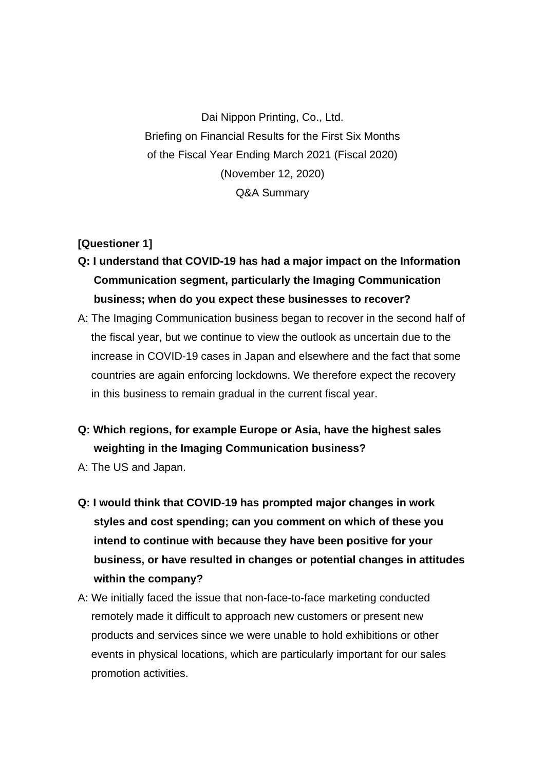Dai Nippon Printing, Co., Ltd. Briefing on Financial Results for the First Six Months of the Fiscal Year Ending March 2021 (Fiscal 2020) (November 12, 2020) Q&A Summary

## **[Questioner 1]**

- **Q: I understand that COVID-19 has had a major impact on the Information Communication segment, particularly the Imaging Communication business; when do you expect these businesses to recover?**
- A: The Imaging Communication business began to recover in the second half of the fiscal year, but we continue to view the outlook as uncertain due to the increase in COVID-19 cases in Japan and elsewhere and the fact that some countries are again enforcing lockdowns. We therefore expect the recovery in this business to remain gradual in the current fiscal year.
- **Q: Which regions, for example Europe or Asia, have the highest sales weighting in the Imaging Communication business?**
- A: The US and Japan.
- **Q: I would think that COVID-19 has prompted major changes in work styles and cost spending; can you comment on which of these you intend to continue with because they have been positive for your business, or have resulted in changes or potential changes in attitudes within the company?**
- A: We initially faced the issue that non-face-to-face marketing conducted remotely made it difficult to approach new customers or present new products and services since we were unable to hold exhibitions or other events in physical locations, which are particularly important for our sales promotion activities.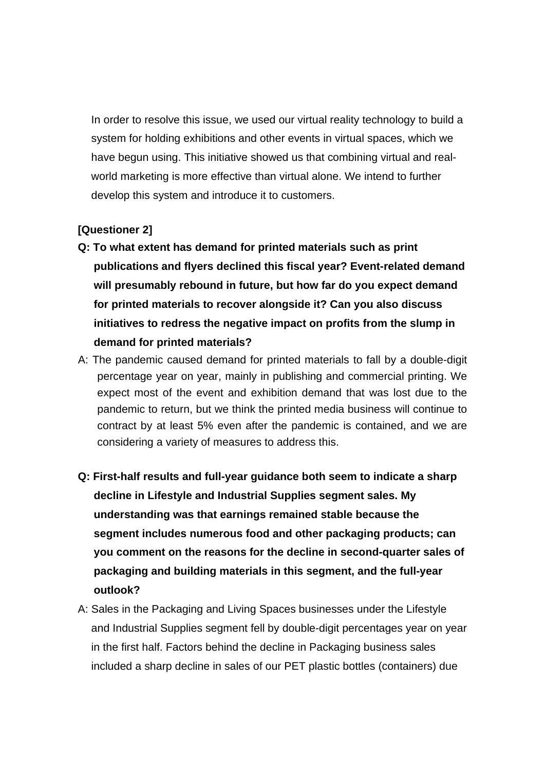In order to resolve this issue, we used our virtual reality technology to build a system for holding exhibitions and other events in virtual spaces, which we have begun using. This initiative showed us that combining virtual and realworld marketing is more effective than virtual alone. We intend to further develop this system and introduce it to customers.

## **[Questioner 2]**

- **Q: To what extent has demand for printed materials such as print publications and flyers declined this fiscal year? Event-related demand will presumably rebound in future, but how far do you expect demand for printed materials to recover alongside it? Can you also discuss initiatives to redress the negative impact on profits from the slump in demand for printed materials?**
- A: The pandemic caused demand for printed materials to fall by a double-digit percentage year on year, mainly in publishing and commercial printing. We expect most of the event and exhibition demand that was lost due to the pandemic to return, but we think the printed media business will continue to contract by at least 5% even after the pandemic is contained, and we are considering a variety of measures to address this.
- **Q: First-half results and full-year guidance both seem to indicate a sharp decline in Lifestyle and Industrial Supplies segment sales. My understanding was that earnings remained stable because the segment includes numerous food and other packaging products; can you comment on the reasons for the decline in second-quarter sales of packaging and building materials in this segment, and the full-year outlook?**
- A: Sales in the Packaging and Living Spaces businesses under the Lifestyle and Industrial Supplies segment fell by double-digit percentages year on year in the first half. Factors behind the decline in Packaging business sales included a sharp decline in sales of our PET plastic bottles (containers) due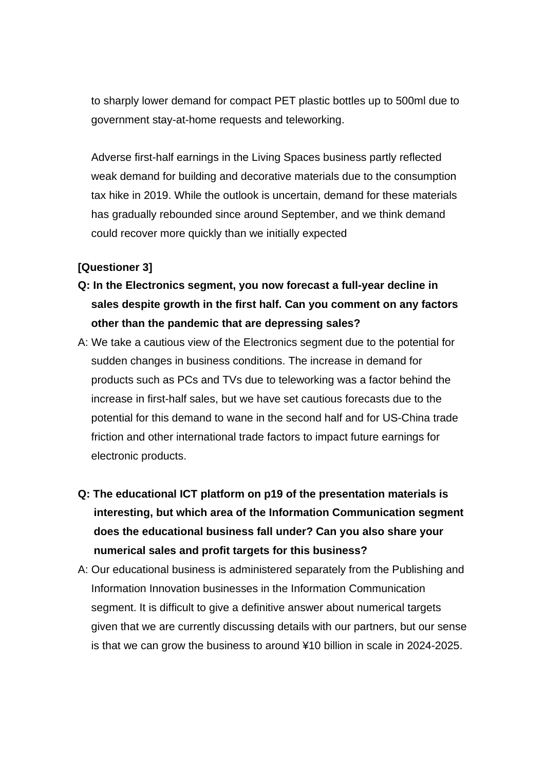to sharply lower demand for compact PET plastic bottles up to 500ml due to government stay-at-home requests and teleworking.

Adverse first-half earnings in the Living Spaces business partly reflected weak demand for building and decorative materials due to the consumption tax hike in 2019. While the outlook is uncertain, demand for these materials has gradually rebounded since around September, and we think demand could recover more quickly than we initially expected

## **[Questioner 3]**

- **Q: In the Electronics segment, you now forecast a full-year decline in sales despite growth in the first half. Can you comment on any factors other than the pandemic that are depressing sales?**
- A: We take a cautious view of the Electronics segment due to the potential for sudden changes in business conditions. The increase in demand for products such as PCs and TVs due to teleworking was a factor behind the increase in first-half sales, but we have set cautious forecasts due to the potential for this demand to wane in the second half and for US-China trade friction and other international trade factors to impact future earnings for electronic products.
- **Q: The educational ICT platform on p19 of the presentation materials is interesting, but which area of the Information Communication segment does the educational business fall under? Can you also share your numerical sales and profit targets for this business?**
- A: Our educational business is administered separately from the Publishing and Information Innovation businesses in the Information Communication segment. It is difficult to give a definitive answer about numerical targets given that we are currently discussing details with our partners, but our sense is that we can grow the business to around ¥10 billion in scale in 2024-2025.